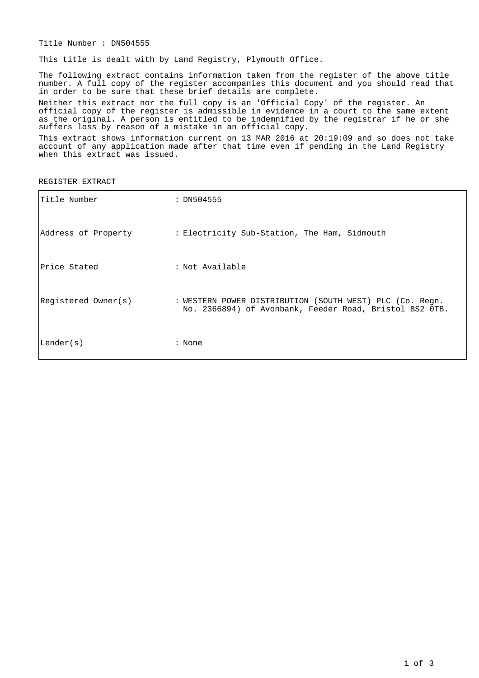Title Number : DN504555

This title is dealt with by Land Registry, Plymouth Office.

The following extract contains information taken from the register of the above title number. A full copy of the register accompanies this document and you should read that in order to be sure that these brief details are complete.

Neither this extract nor the full copy is an 'Official Copy' of the register. An official copy of the register is admissible in evidence in a court to the same extent as the original. A person is entitled to be indemnified by the registrar if he or she suffers loss by reason of a mistake in an official copy.

This extract shows information current on 13 MAR 2016 at 20:19:09 and so does not take account of any application made after that time even if pending in the Land Registry when this extract was issued.

REGISTER EXTRACT

| Title Number        | : DN504555                                                                                                          |
|---------------------|---------------------------------------------------------------------------------------------------------------------|
| Address of Property | : Electricity Sub-Station, The Ham, Sidmouth                                                                        |
| Price Stated        | : Not Available                                                                                                     |
| Registered Owner(s) | : WESTERN POWER DISTRIBUTION (SOUTH WEST) PLC (Co. Regn.<br>No. 2366894) of Avonbank, Feeder Road, Bristol BS2 OTB. |
| Lender(s)           | : None                                                                                                              |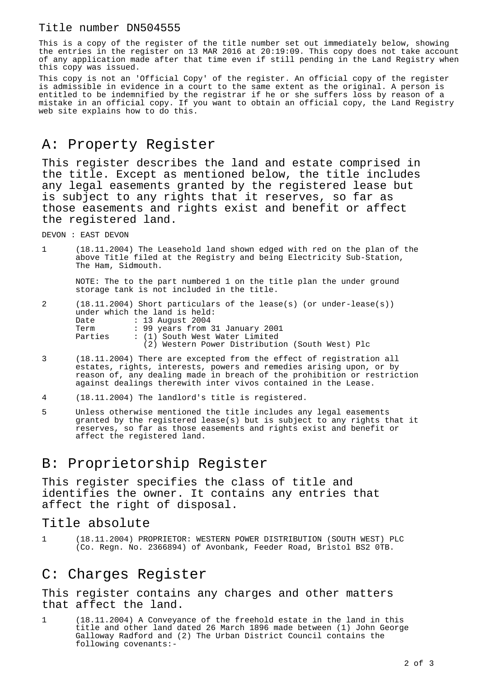#### Title number DN504555

This is a copy of the register of the title number set out immediately below, showing the entries in the register on 13 MAR 2016 at 20:19:09. This copy does not take account of any application made after that time even if still pending in the Land Registry when this copy was issued.

This copy is not an 'Official Copy' of the register. An official copy of the register is admissible in evidence in a court to the same extent as the original. A person is entitled to be indemnified by the registrar if he or she suffers loss by reason of a mistake in an official copy. If you want to obtain an official copy, the Land Registry web site explains how to do this.

## A: Property Register

This register describes the land and estate comprised in the title. Except as mentioned below, the title includes any legal easements granted by the registered lease but is subject to any rights that it reserves, so far as those easements and rights exist and benefit or affect the registered land.

DEVON : EAST DEVON

1 (18.11.2004) The Leasehold land shown edged with red on the plan of the above Title filed at the Registry and being Electricity Sub-Station, The Ham, Sidmouth.

NOTE: The to the part numbered 1 on the title plan the under ground storage tank is not included in the title.

- 2 (18.11.2004) Short particulars of the lease(s) (or under-lease(s)) under which the land is held: Date : 13 August 2004 Term : 99 years from 31 January 2001 Parties : (1) South West Water Limited (2) Western Power Distribution (South West) Plc
- 3 (18.11.2004) There are excepted from the effect of registration all estates, rights, interests, powers and remedies arising upon, or by reason of, any dealing made in breach of the prohibition or restriction against dealings therewith inter vivos contained in the Lease.
- 4 (18.11.2004) The landlord's title is registered.
- 5 Unless otherwise mentioned the title includes any legal easements granted by the registered lease(s) but is subject to any rights that it reserves, so far as those easements and rights exist and benefit or affect the registered land.

## B: Proprietorship Register

This register specifies the class of title and identifies the owner. It contains any entries that affect the right of disposal.

#### Title absolute

1 (18.11.2004) PROPRIETOR: WESTERN POWER DISTRIBUTION (SOUTH WEST) PLC (Co. Regn. No. 2366894) of Avonbank, Feeder Road, Bristol BS2 0TB.

### C: Charges Register

This register contains any charges and other matters that affect the land.

1 (18.11.2004) A Conveyance of the freehold estate in the land in this title and other land dated 26 March 1896 made between (1) John George Galloway Radford and (2) The Urban District Council contains the following covenants:-